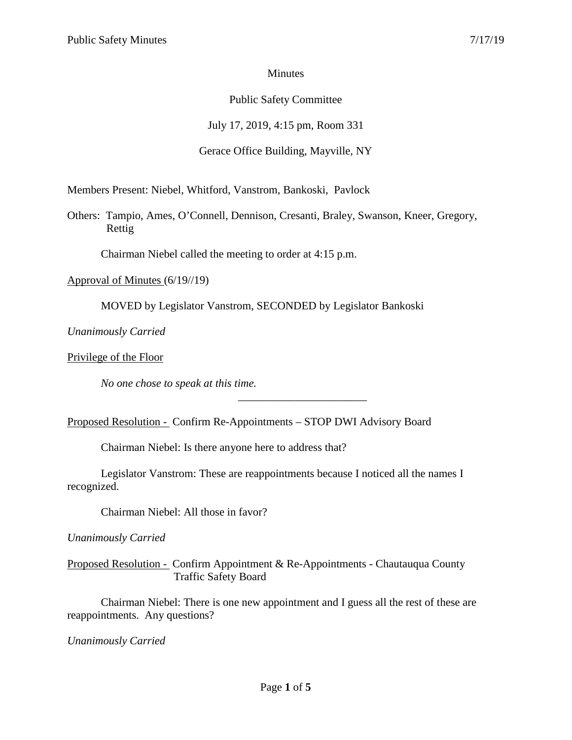### Minutes

#### Public Safety Committee

July 17, 2019, 4:15 pm, Room 331

### Gerace Office Building, Mayville, NY

Members Present: Niebel, Whitford, Vanstrom, Bankoski, Pavlock

Others: Tampio, Ames, O'Connell, Dennison, Cresanti, Braley, Swanson, Kneer, Gregory, Rettig

Chairman Niebel called the meeting to order at 4:15 p.m.

Approval of Minutes (6/19//19)

MOVED by Legislator Vanstrom, SECONDED by Legislator Bankoski

*Unanimously Carried*

Privilege of the Floor

*No one chose to speak at this time.*

Proposed Resolution - Confirm Re-Appointments – STOP DWI Advisory Board

Chairman Niebel: Is there anyone here to address that?

Legislator Vanstrom: These are reappointments because I noticed all the names I recognized.

\_\_\_\_\_\_\_\_\_\_\_\_\_\_\_\_\_\_\_\_\_\_\_

Chairman Niebel: All those in favor?

*Unanimously Carried*

Proposed Resolution - Confirm Appointment & Re-Appointments - Chautauqua County Traffic Safety Board

Chairman Niebel: There is one new appointment and I guess all the rest of these are reappointments. Any questions?

*Unanimously Carried*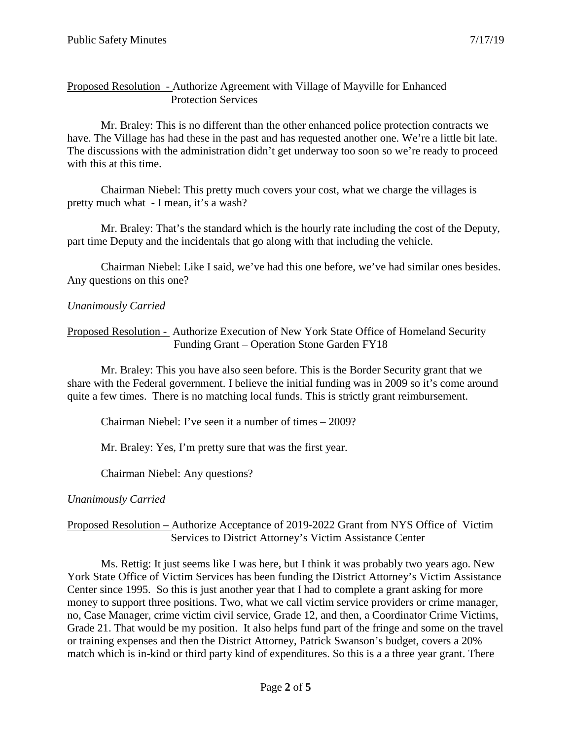### Proposed Resolution - Authorize Agreement with Village of Mayville for Enhanced Protection Services

Mr. Braley: This is no different than the other enhanced police protection contracts we have. The Village has had these in the past and has requested another one. We're a little bit late. The discussions with the administration didn't get underway too soon so we're ready to proceed with this at this time.

Chairman Niebel: This pretty much covers your cost, what we charge the villages is pretty much what - I mean, it's a wash?

Mr. Braley: That's the standard which is the hourly rate including the cost of the Deputy, part time Deputy and the incidentals that go along with that including the vehicle.

Chairman Niebel: Like I said, we've had this one before, we've had similar ones besides. Any questions on this one?

### *Unanimously Carried*

Proposed Resolution - Authorize Execution of New York State Office of Homeland Security Funding Grant – Operation Stone Garden FY18

Mr. Braley: This you have also seen before. This is the Border Security grant that we share with the Federal government. I believe the initial funding was in 2009 so it's come around quite a few times. There is no matching local funds. This is strictly grant reimbursement.

Chairman Niebel: I've seen it a number of times – 2009?

Mr. Braley: Yes, I'm pretty sure that was the first year.

Chairman Niebel: Any questions?

### *Unanimously Carried*

### Proposed Resolution – Authorize Acceptance of 2019-2022 Grant from NYS Office of Victim Services to District Attorney's Victim Assistance Center

Ms. Rettig: It just seems like I was here, but I think it was probably two years ago. New York State Office of Victim Services has been funding the District Attorney's Victim Assistance Center since 1995. So this is just another year that I had to complete a grant asking for more money to support three positions. Two, what we call victim service providers or crime manager, no, Case Manager, crime victim civil service, Grade 12, and then, a Coordinator Crime Victims, Grade 21. That would be my position. It also helps fund part of the fringe and some on the travel or training expenses and then the District Attorney, Patrick Swanson's budget, covers a 20% match which is in-kind or third party kind of expenditures. So this is a a three year grant. There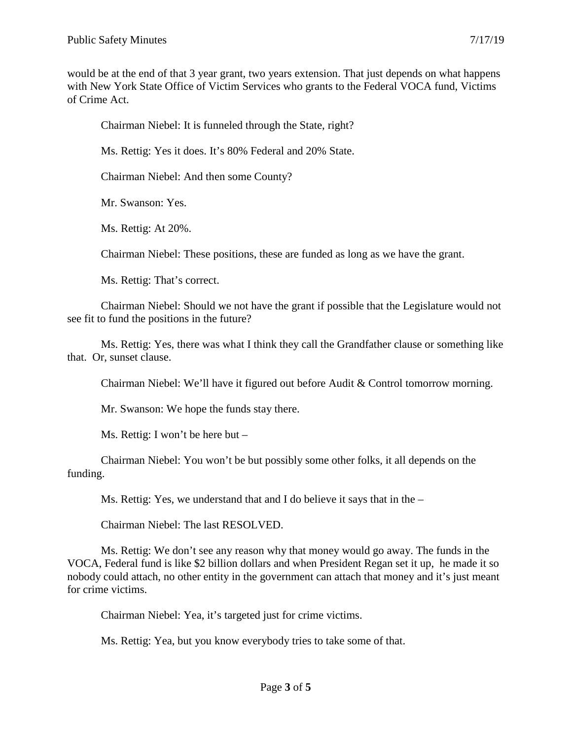would be at the end of that 3 year grant, two years extension. That just depends on what happens with New York State Office of Victim Services who grants to the Federal VOCA fund, Victims of Crime Act.

Chairman Niebel: It is funneled through the State, right?

Ms. Rettig: Yes it does. It's 80% Federal and 20% State.

Chairman Niebel: And then some County?

Mr. Swanson: Yes.

Ms. Rettig: At 20%.

Chairman Niebel: These positions, these are funded as long as we have the grant.

Ms. Rettig: That's correct.

Chairman Niebel: Should we not have the grant if possible that the Legislature would not see fit to fund the positions in the future?

Ms. Rettig: Yes, there was what I think they call the Grandfather clause or something like that. Or, sunset clause.

Chairman Niebel: We'll have it figured out before Audit & Control tomorrow morning.

Mr. Swanson: We hope the funds stay there.

Ms. Rettig: I won't be here but –

Chairman Niebel: You won't be but possibly some other folks, it all depends on the funding.

Ms. Rettig: Yes, we understand that and I do believe it says that in the –

Chairman Niebel: The last RESOLVED.

Ms. Rettig: We don't see any reason why that money would go away. The funds in the VOCA, Federal fund is like \$2 billion dollars and when President Regan set it up, he made it so nobody could attach, no other entity in the government can attach that money and it's just meant for crime victims.

Chairman Niebel: Yea, it's targeted just for crime victims.

Ms. Rettig: Yea, but you know everybody tries to take some of that.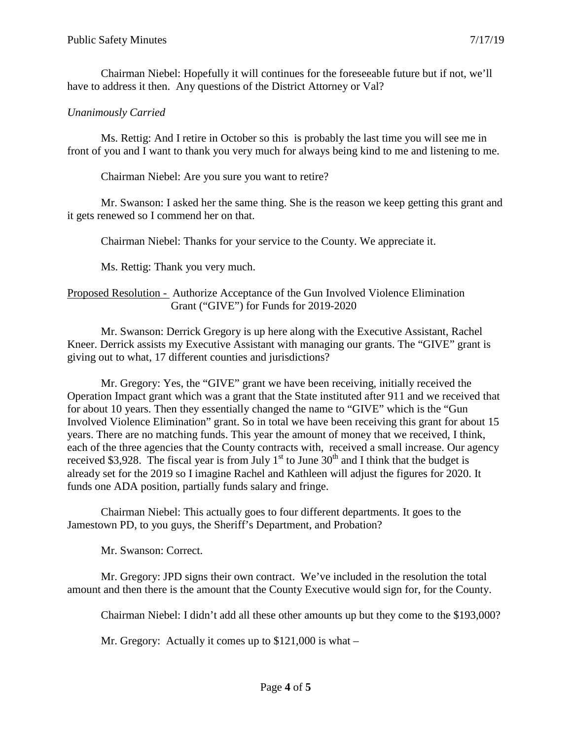Chairman Niebel: Hopefully it will continues for the foreseeable future but if not, we'll have to address it then. Any questions of the District Attorney or Val?

## *Unanimously Carried*

Ms. Rettig: And I retire in October so this is probably the last time you will see me in front of you and I want to thank you very much for always being kind to me and listening to me.

Chairman Niebel: Are you sure you want to retire?

Mr. Swanson: I asked her the same thing. She is the reason we keep getting this grant and it gets renewed so I commend her on that.

Chairman Niebel: Thanks for your service to the County. We appreciate it.

Ms. Rettig: Thank you very much.

# Proposed Resolution - Authorize Acceptance of the Gun Involved Violence Elimination Grant ("GIVE") for Funds for 2019-2020

Mr. Swanson: Derrick Gregory is up here along with the Executive Assistant, Rachel Kneer. Derrick assists my Executive Assistant with managing our grants. The "GIVE" grant is giving out to what, 17 different counties and jurisdictions?

Mr. Gregory: Yes, the "GIVE" grant we have been receiving, initially received the Operation Impact grant which was a grant that the State instituted after 911 and we received that for about 10 years. Then they essentially changed the name to "GIVE" which is the "Gun Involved Violence Elimination" grant. So in total we have been receiving this grant for about 15 years. There are no matching funds. This year the amount of money that we received, I think, each of the three agencies that the County contracts with, received a small increase. Our agency received \$3,928. The fiscal year is from July  $1<sup>st</sup>$  to June 30<sup>th</sup> and I think that the budget is already set for the 2019 so I imagine Rachel and Kathleen will adjust the figures for 2020. It funds one ADA position, partially funds salary and fringe.

Chairman Niebel: This actually goes to four different departments. It goes to the Jamestown PD, to you guys, the Sheriff's Department, and Probation?

Mr. Swanson: Correct.

Mr. Gregory: JPD signs their own contract. We've included in the resolution the total amount and then there is the amount that the County Executive would sign for, for the County.

Chairman Niebel: I didn't add all these other amounts up but they come to the \$193,000?

Mr. Gregory: Actually it comes up to \$121,000 is what –